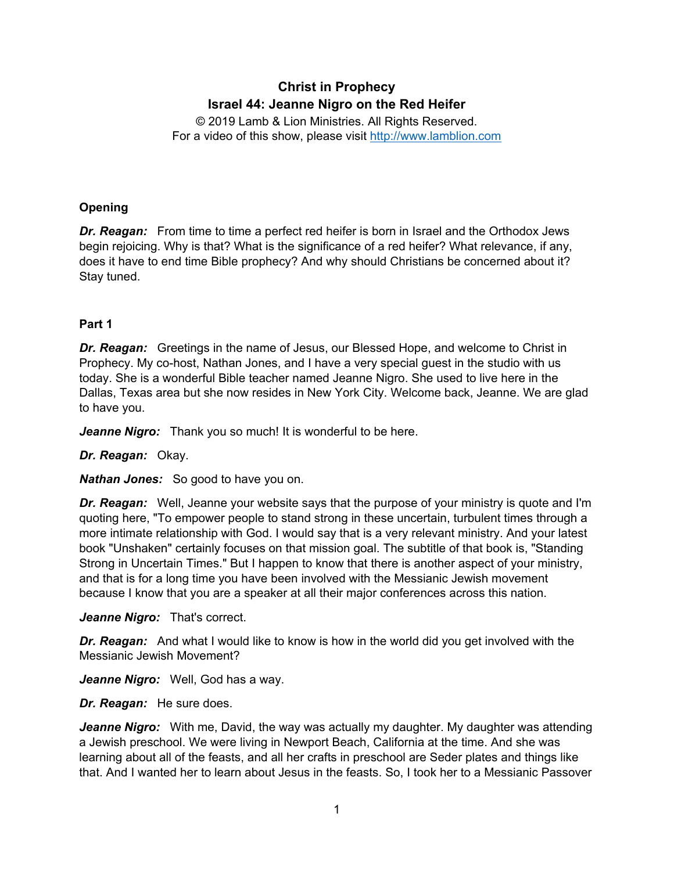# **Christ in Prophecy Israel 44: Jeanne Nigro on the Red Heifer**

© 2019 Lamb & Lion Ministries. All Rights Reserved. For a video of this show, please visit [http://www.lamblion.com](http://www.lamblion.com/)

# **Opening**

*Dr. Reagan:* From time to time a perfect red heifer is born in Israel and the Orthodox Jews begin rejoicing. Why is that? What is the significance of a red heifer? What relevance, if any, does it have to end time Bible prophecy? And why should Christians be concerned about it? Stay tuned.

# **Part 1**

*Dr. Reagan:* Greetings in the name of Jesus, our Blessed Hope, and welcome to Christ in Prophecy. My co-host, Nathan Jones, and I have a very special guest in the studio with us today. She is a wonderful Bible teacher named Jeanne Nigro. She used to live here in the Dallas, Texas area but she now resides in New York City. Welcome back, Jeanne. We are glad to have you.

*Jeanne Nigro:* Thank you so much! It is wonderful to be here.

## *Dr. Reagan:* Okay.

*Nathan Jones:* So good to have you on.

*Dr. Reagan:* Well, Jeanne your website says that the purpose of your ministry is quote and I'm quoting here, "To empower people to stand strong in these uncertain, turbulent times through a more intimate relationship with God. I would say that is a very relevant ministry. And your latest book "Unshaken" certainly focuses on that mission goal. The subtitle of that book is, "Standing Strong in Uncertain Times." But I happen to know that there is another aspect of your ministry, and that is for a long time you have been involved with the Messianic Jewish movement because I know that you are a speaker at all their major conferences across this nation.

*Jeanne Nigro:* That's correct.

**Dr. Reagan:** And what I would like to know is how in the world did you get involved with the Messianic Jewish Movement?

*Jeanne Nigro:* Well, God has a way.

*Dr. Reagan:* He sure does.

*Jeanne Nigro:* With me, David, the way was actually my daughter. My daughter was attending a Jewish preschool. We were living in Newport Beach, California at the time. And she was learning about all of the feasts, and all her crafts in preschool are Seder plates and things like that. And I wanted her to learn about Jesus in the feasts. So, I took her to a Messianic Passover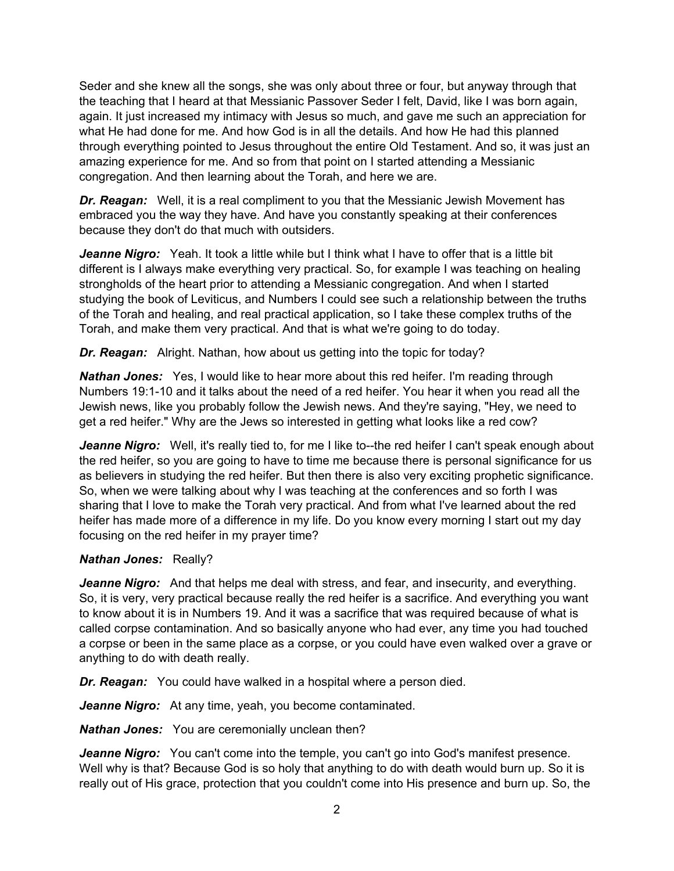Seder and she knew all the songs, she was only about three or four, but anyway through that the teaching that I heard at that Messianic Passover Seder I felt, David, like I was born again, again. It just increased my intimacy with Jesus so much, and gave me such an appreciation for what He had done for me. And how God is in all the details. And how He had this planned through everything pointed to Jesus throughout the entire Old Testament. And so, it was just an amazing experience for me. And so from that point on I started attending a Messianic congregation. And then learning about the Torah, and here we are.

*Dr. Reagan:* Well, it is a real compliment to you that the Messianic Jewish Movement has embraced you the way they have. And have you constantly speaking at their conferences because they don't do that much with outsiders.

Jeanne Nigro: Yeah. It took a little while but I think what I have to offer that is a little bit different is I always make everything very practical. So, for example I was teaching on healing strongholds of the heart prior to attending a Messianic congregation. And when I started studying the book of Leviticus, and Numbers I could see such a relationship between the truths of the Torah and healing, and real practical application, so I take these complex truths of the Torah, and make them very practical. And that is what we're going to do today.

*Dr. Reagan:* Alright. Nathan, how about us getting into the topic for today?

*Nathan Jones:* Yes, I would like to hear more about this red heifer. I'm reading through Numbers 19:1-10 and it talks about the need of a red heifer. You hear it when you read all the Jewish news, like you probably follow the Jewish news. And they're saying, "Hey, we need to get a red heifer." Why are the Jews so interested in getting what looks like a red cow?

Jeanne Nigro: Well, it's really tied to, for me I like to--the red heifer I can't speak enough about the red heifer, so you are going to have to time me because there is personal significance for us as believers in studying the red heifer. But then there is also very exciting prophetic significance. So, when we were talking about why I was teaching at the conferences and so forth I was sharing that I love to make the Torah very practical. And from what I've learned about the red heifer has made more of a difference in my life. Do you know every morning I start out my day focusing on the red heifer in my prayer time?

## *Nathan Jones:* Really?

*Jeanne Nigro:* And that helps me deal with stress, and fear, and insecurity, and everything. So, it is very, very practical because really the red heifer is a sacrifice. And everything you want to know about it is in Numbers 19. And it was a sacrifice that was required because of what is called corpse contamination. And so basically anyone who had ever, any time you had touched a corpse or been in the same place as a corpse, or you could have even walked over a grave or anything to do with death really.

*Dr. Reagan:* You could have walked in a hospital where a person died.

*Jeanne Nigro:* At any time, yeah, you become contaminated.

*Nathan Jones:* You are ceremonially unclean then?

*Jeanne Nigro:* You can't come into the temple, you can't go into God's manifest presence. Well why is that? Because God is so holy that anything to do with death would burn up. So it is really out of His grace, protection that you couldn't come into His presence and burn up. So, the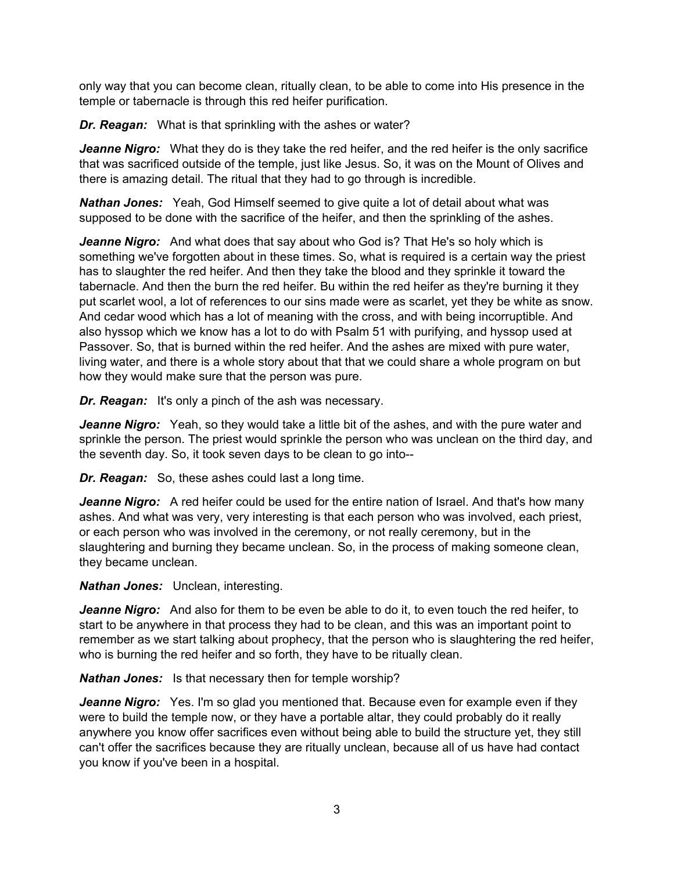only way that you can become clean, ritually clean, to be able to come into His presence in the temple or tabernacle is through this red heifer purification.

*Dr. Reagan:* What is that sprinkling with the ashes or water?

*Jeanne Nigro:* What they do is they take the red heifer, and the red heifer is the only sacrifice that was sacrificed outside of the temple, just like Jesus. So, it was on the Mount of Olives and there is amazing detail. The ritual that they had to go through is incredible.

*Nathan Jones:* Yeah, God Himself seemed to give quite a lot of detail about what was supposed to be done with the sacrifice of the heifer, and then the sprinkling of the ashes.

*Jeanne Nigro:* And what does that say about who God is? That He's so holy which is something we've forgotten about in these times. So, what is required is a certain way the priest has to slaughter the red heifer. And then they take the blood and they sprinkle it toward the tabernacle. And then the burn the red heifer. Bu within the red heifer as they're burning it they put scarlet wool, a lot of references to our sins made were as scarlet, yet they be white as snow. And cedar wood which has a lot of meaning with the cross, and with being incorruptible. And also hyssop which we know has a lot to do with Psalm 51 with purifying, and hyssop used at Passover. So, that is burned within the red heifer. And the ashes are mixed with pure water, living water, and there is a whole story about that that we could share a whole program on but how they would make sure that the person was pure.

*Dr. Reagan:* It's only a pinch of the ash was necessary.

*Jeanne Nigro:* Yeah, so they would take a little bit of the ashes, and with the pure water and sprinkle the person. The priest would sprinkle the person who was unclean on the third day, and the seventh day. So, it took seven days to be clean to go into--

*Dr. Reagan:* So, these ashes could last a long time.

**Jeanne Nigro:** A red heifer could be used for the entire nation of Israel. And that's how many ashes. And what was very, very interesting is that each person who was involved, each priest, or each person who was involved in the ceremony, or not really ceremony, but in the slaughtering and burning they became unclean. So, in the process of making someone clean, they became unclean.

*Nathan Jones:* Unclean, interesting.

*Jeanne Nigro:* And also for them to be even be able to do it, to even touch the red heifer, to start to be anywhere in that process they had to be clean, and this was an important point to remember as we start talking about prophecy, that the person who is slaughtering the red heifer, who is burning the red heifer and so forth, they have to be ritually clean.

*Nathan Jones:* Is that necessary then for temple worship?

*Jeanne Nigro:* Yes. I'm so glad you mentioned that. Because even for example even if they were to build the temple now, or they have a portable altar, they could probably do it really anywhere you know offer sacrifices even without being able to build the structure yet, they still can't offer the sacrifices because they are ritually unclean, because all of us have had contact you know if you've been in a hospital.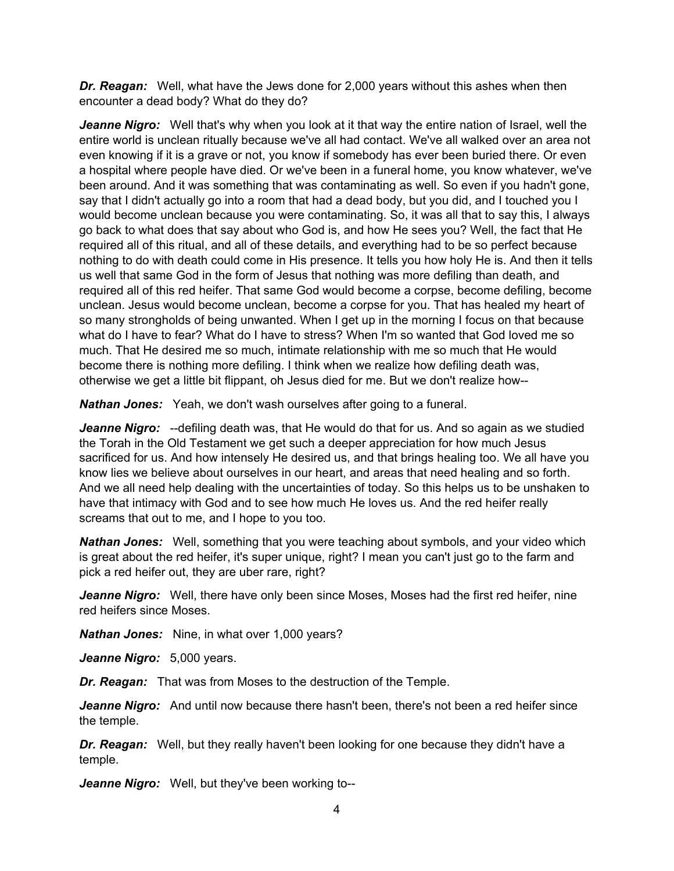*Dr. Reagan:* Well, what have the Jews done for 2,000 years without this ashes when then encounter a dead body? What do they do?

*Jeanne Nigro:* Well that's why when you look at it that way the entire nation of Israel, well the entire world is unclean ritually because we've all had contact. We've all walked over an area not even knowing if it is a grave or not, you know if somebody has ever been buried there. Or even a hospital where people have died. Or we've been in a funeral home, you know whatever, we've been around. And it was something that was contaminating as well. So even if you hadn't gone, say that I didn't actually go into a room that had a dead body, but you did, and I touched you I would become unclean because you were contaminating. So, it was all that to say this, I always go back to what does that say about who God is, and how He sees you? Well, the fact that He required all of this ritual, and all of these details, and everything had to be so perfect because nothing to do with death could come in His presence. It tells you how holy He is. And then it tells us well that same God in the form of Jesus that nothing was more defiling than death, and required all of this red heifer. That same God would become a corpse, become defiling, become unclean. Jesus would become unclean, become a corpse for you. That has healed my heart of so many strongholds of being unwanted. When I get up in the morning I focus on that because what do I have to fear? What do I have to stress? When I'm so wanted that God loved me so much. That He desired me so much, intimate relationship with me so much that He would become there is nothing more defiling. I think when we realize how defiling death was, otherwise we get a little bit flippant, oh Jesus died for me. But we don't realize how--

*Nathan Jones:* Yeah, we don't wash ourselves after going to a funeral.

*Jeanne Nigro:* --defiling death was, that He would do that for us. And so again as we studied the Torah in the Old Testament we get such a deeper appreciation for how much Jesus sacrificed for us. And how intensely He desired us, and that brings healing too. We all have you know lies we believe about ourselves in our heart, and areas that need healing and so forth. And we all need help dealing with the uncertainties of today. So this helps us to be unshaken to have that intimacy with God and to see how much He loves us. And the red heifer really screams that out to me, and I hope to you too.

*Nathan Jones:* Well, something that you were teaching about symbols, and your video which is great about the red heifer, it's super unique, right? I mean you can't just go to the farm and pick a red heifer out, they are uber rare, right?

*Jeanne Nigro:* Well, there have only been since Moses, Moses had the first red heifer, nine red heifers since Moses.

*Nathan Jones:* Nine, in what over 1,000 years?

*Jeanne Nigro:* 5,000 years.

*Dr. Reagan:* That was from Moses to the destruction of the Temple.

*Jeanne Nigro:* And until now because there hasn't been, there's not been a red heifer since the temple.

*Dr. Reagan:* Well, but they really haven't been looking for one because they didn't have a temple.

*Jeanne Nigro:* Well, but they've been working to--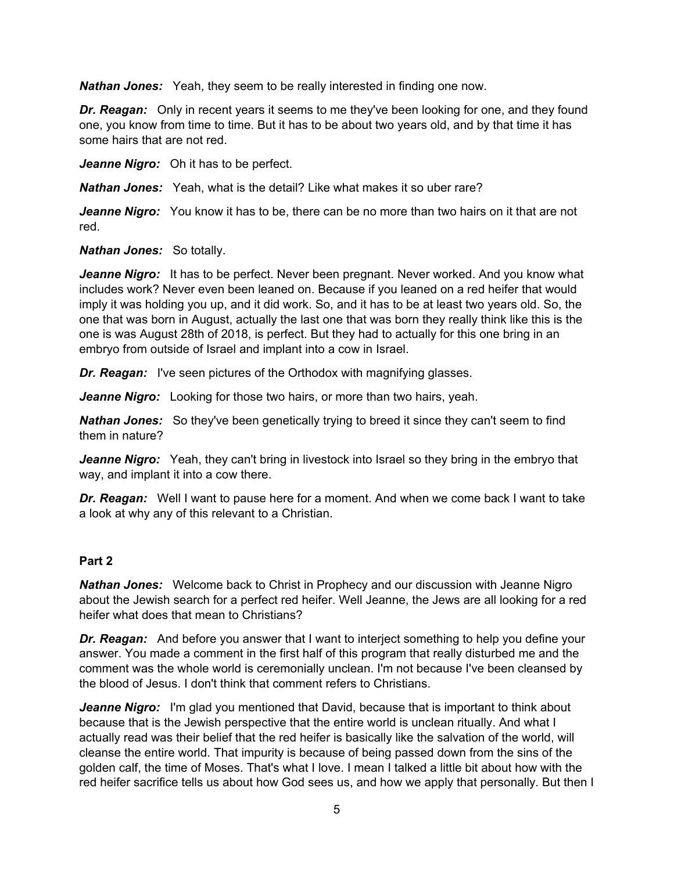*Nathan Jones:* Yeah, they seem to be really interested in finding one now.

*Dr. Reagan:* Only in recent years it seems to me they've been looking for one, and they found one, you know from time to time. But it has to be about two years old, and by that time it has some hairs that are not red.

*Jeanne Nigro:* Oh it has to be perfect.

*Nathan Jones:* Yeah, what is the detail? Like what makes it so uber rare?

*Jeanne Nigro:* You know it has to be, there can be no more than two hairs on it that are not red.

*Nathan Jones:* So totally.

*Jeanne Nigro:* It has to be perfect. Never been pregnant. Never worked. And you know what includes work? Never even been leaned on. Because if you leaned on a red heifer that would imply it was holding you up, and it did work. So, and it has to be at least two years old. So, the one that was born in August, actually the last one that was born they really think like this is the one is was August 28th of 2018, is perfect. But they had to actually for this one bring in an embryo from outside of Israel and implant into a cow in Israel.

*Dr. Reagan:* I've seen pictures of the Orthodox with magnifying glasses.

*Jeanne Nigro:* Looking for those two hairs, or more than two hairs, yeah.

**Nathan Jones:** So they've been genetically trying to breed it since they can't seem to find them in nature?

*Jeanne Nigro:* Yeah, they can't bring in livestock into Israel so they bring in the embryo that way, and implant it into a cow there.

*Dr. Reagan:* Well I want to pause here for a moment. And when we come back I want to take a look at why any of this relevant to a Christian.

## **Part 2**

*Nathan Jones:* Welcome back to Christ in Prophecy and our discussion with Jeanne Nigro about the Jewish search for a perfect red heifer. Well Jeanne, the Jews are all looking for a red heifer what does that mean to Christians?

*Dr. Reagan:* And before you answer that I want to interject something to help you define your answer. You made a comment in the first half of this program that really disturbed me and the comment was the whole world is ceremonially unclean. I'm not because I've been cleansed by the blood of Jesus. I don't think that comment refers to Christians.

*Jeanne Nigro:* I'm glad you mentioned that David, because that is important to think about because that is the Jewish perspective that the entire world is unclean ritually. And what I actually read was their belief that the red heifer is basically like the salvation of the world, will cleanse the entire world. That impurity is because of being passed down from the sins of the golden calf, the time of Moses. That's what I love. I mean I talked a little bit about how with the red heifer sacrifice tells us about how God sees us, and how we apply that personally. But then I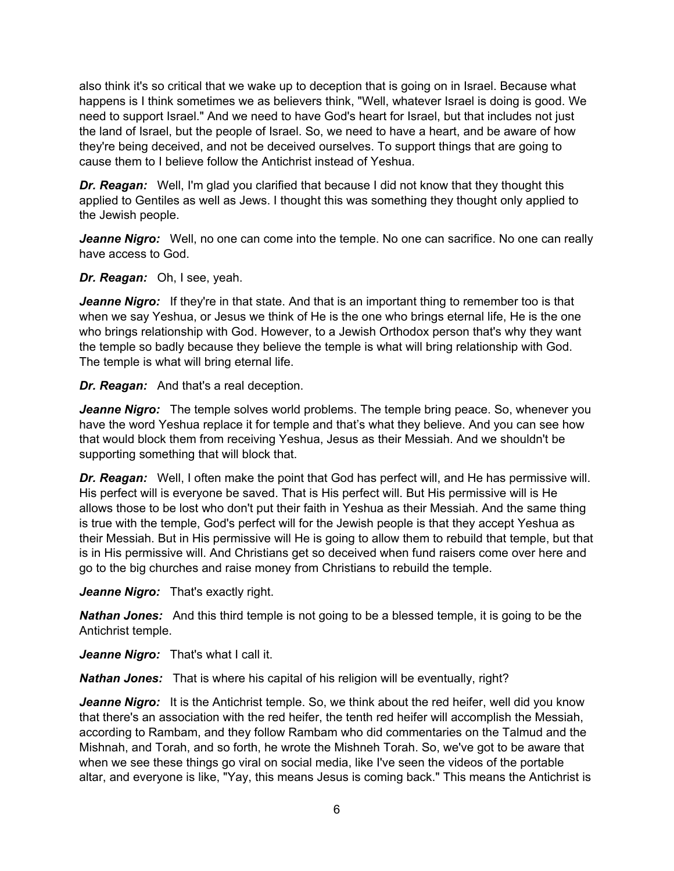also think it's so critical that we wake up to deception that is going on in Israel. Because what happens is I think sometimes we as believers think, "Well, whatever Israel is doing is good. We need to support Israel." And we need to have God's heart for Israel, but that includes not just the land of Israel, but the people of Israel. So, we need to have a heart, and be aware of how they're being deceived, and not be deceived ourselves. To support things that are going to cause them to I believe follow the Antichrist instead of Yeshua.

*Dr. Reagan:* Well, I'm glad you clarified that because I did not know that they thought this applied to Gentiles as well as Jews. I thought this was something they thought only applied to the Jewish people.

*Jeanne Nigro:* Well, no one can come into the temple. No one can sacrifice. No one can really have access to God.

*Dr. Reagan:* Oh, I see, yeah.

*Jeanne Nigro:* If they're in that state. And that is an important thing to remember too is that when we say Yeshua, or Jesus we think of He is the one who brings eternal life, He is the one who brings relationship with God. However, to a Jewish Orthodox person that's why they want the temple so badly because they believe the temple is what will bring relationship with God. The temple is what will bring eternal life.

*Dr. Reagan:* And that's a real deception.

*Jeanne Nigro:* The temple solves world problems. The temple bring peace. So, whenever you have the word Yeshua replace it for temple and that's what they believe. And you can see how that would block them from receiving Yeshua, Jesus as their Messiah. And we shouldn't be supporting something that will block that.

*Dr. Reagan:* Well, I often make the point that God has perfect will, and He has permissive will. His perfect will is everyone be saved. That is His perfect will. But His permissive will is He allows those to be lost who don't put their faith in Yeshua as their Messiah. And the same thing is true with the temple, God's perfect will for the Jewish people is that they accept Yeshua as their Messiah. But in His permissive will He is going to allow them to rebuild that temple, but that is in His permissive will. And Christians get so deceived when fund raisers come over here and go to the big churches and raise money from Christians to rebuild the temple.

*Jeanne Nigro:* That's exactly right.

*Nathan Jones:* And this third temple is not going to be a blessed temple, it is going to be the Antichrist temple.

Jeanne Nigro: That's what I call it.

*Nathan Jones:* That is where his capital of his religion will be eventually, right?

**Jeanne Nigro:** It is the Antichrist temple. So, we think about the red heifer, well did you know that there's an association with the red heifer, the tenth red heifer will accomplish the Messiah, according to Rambam, and they follow Rambam who did commentaries on the Talmud and the Mishnah, and Torah, and so forth, he wrote the Mishneh Torah. So, we've got to be aware that when we see these things go viral on social media, like I've seen the videos of the portable altar, and everyone is like, "Yay, this means Jesus is coming back." This means the Antichrist is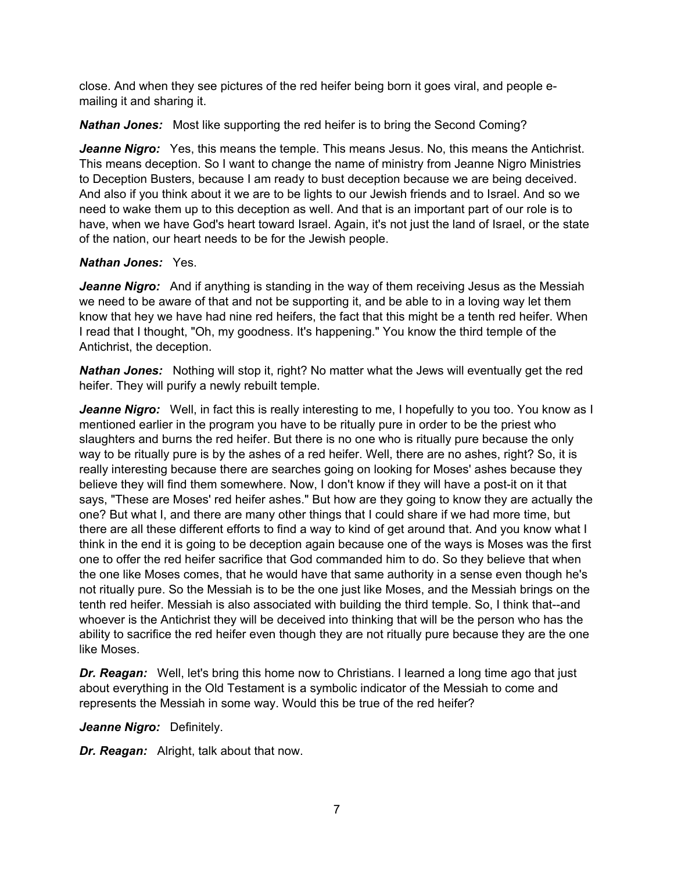close. And when they see pictures of the red heifer being born it goes viral, and people emailing it and sharing it.

*Nathan Jones:* Most like supporting the red heifer is to bring the Second Coming?

*Jeanne Nigro:* Yes, this means the temple. This means Jesus. No, this means the Antichrist. This means deception. So I want to change the name of ministry from Jeanne Nigro Ministries to Deception Busters, because I am ready to bust deception because we are being deceived. And also if you think about it we are to be lights to our Jewish friends and to Israel. And so we need to wake them up to this deception as well. And that is an important part of our role is to have, when we have God's heart toward Israel. Again, it's not just the land of Israel, or the state of the nation, our heart needs to be for the Jewish people.

## *Nathan Jones:* Yes.

**Jeanne Nigro:** And if anything is standing in the way of them receiving Jesus as the Messiah we need to be aware of that and not be supporting it, and be able to in a loving way let them know that hey we have had nine red heifers, the fact that this might be a tenth red heifer. When I read that I thought, "Oh, my goodness. It's happening." You know the third temple of the Antichrist, the deception.

*Nathan Jones:* Nothing will stop it, right? No matter what the Jews will eventually get the red heifer. They will purify a newly rebuilt temple.

*Jeanne Nigro:* Well, in fact this is really interesting to me, I hopefully to you too. You know as I mentioned earlier in the program you have to be ritually pure in order to be the priest who slaughters and burns the red heifer. But there is no one who is ritually pure because the only way to be ritually pure is by the ashes of a red heifer. Well, there are no ashes, right? So, it is really interesting because there are searches going on looking for Moses' ashes because they believe they will find them somewhere. Now, I don't know if they will have a post-it on it that says, "These are Moses' red heifer ashes." But how are they going to know they are actually the one? But what I, and there are many other things that I could share if we had more time, but there are all these different efforts to find a way to kind of get around that. And you know what I think in the end it is going to be deception again because one of the ways is Moses was the first one to offer the red heifer sacrifice that God commanded him to do. So they believe that when the one like Moses comes, that he would have that same authority in a sense even though he's not ritually pure. So the Messiah is to be the one just like Moses, and the Messiah brings on the tenth red heifer. Messiah is also associated with building the third temple. So, I think that--and whoever is the Antichrist they will be deceived into thinking that will be the person who has the ability to sacrifice the red heifer even though they are not ritually pure because they are the one like Moses.

**Dr. Reagan:** Well, let's bring this home now to Christians. I learned a long time ago that just about everything in the Old Testament is a symbolic indicator of the Messiah to come and represents the Messiah in some way. Would this be true of the red heifer?

#### *Jeanne Nigro:* Definitely.

*Dr. Reagan:* Alright, talk about that now.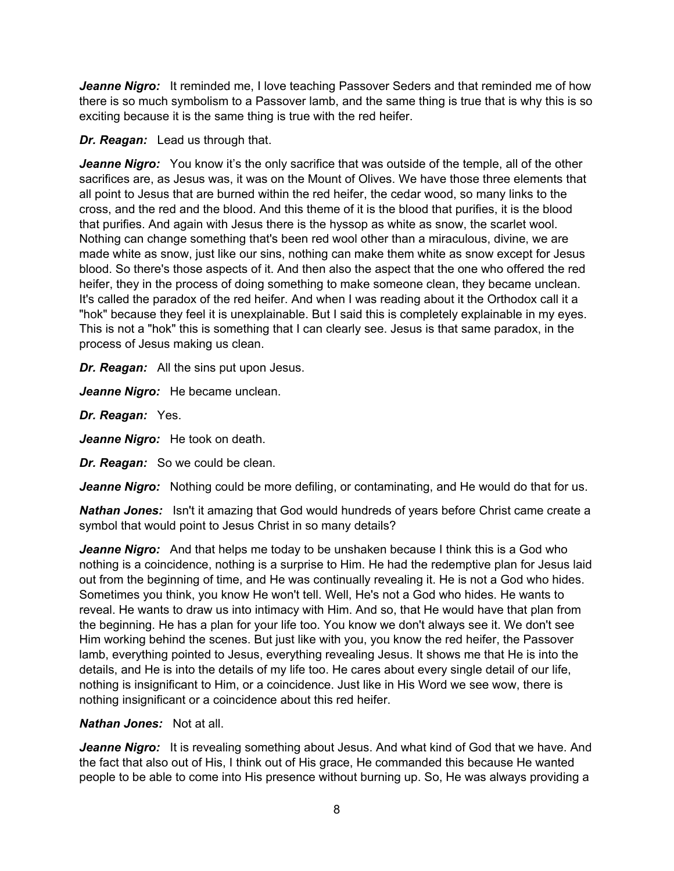*Jeanne Nigro:* It reminded me, I love teaching Passover Seders and that reminded me of how there is so much symbolism to a Passover lamb, and the same thing is true that is why this is so exciting because it is the same thing is true with the red heifer.

## *Dr. Reagan:* Lead us through that.

*Jeanne Nigro:* You know it's the only sacrifice that was outside of the temple, all of the other sacrifices are, as Jesus was, it was on the Mount of Olives. We have those three elements that all point to Jesus that are burned within the red heifer, the cedar wood, so many links to the cross, and the red and the blood. And this theme of it is the blood that purifies, it is the blood that purifies. And again with Jesus there is the hyssop as white as snow, the scarlet wool. Nothing can change something that's been red wool other than a miraculous, divine, we are made white as snow, just like our sins, nothing can make them white as snow except for Jesus blood. So there's those aspects of it. And then also the aspect that the one who offered the red heifer, they in the process of doing something to make someone clean, they became unclean. It's called the paradox of the red heifer. And when I was reading about it the Orthodox call it a "hok" because they feel it is unexplainable. But I said this is completely explainable in my eyes. This is not a "hok" this is something that I can clearly see. Jesus is that same paradox, in the process of Jesus making us clean.

*Dr. Reagan:* All the sins put upon Jesus.

*Jeanne Nigro:* He became unclean.

*Dr. Reagan:* Yes.

*Jeanne Nigro:* He took on death.

*Dr. Reagan:* So we could be clean.

*Jeanne Nigro:* Nothing could be more defiling, or contaminating, and He would do that for us.

*Nathan Jones:* Isn't it amazing that God would hundreds of years before Christ came create a symbol that would point to Jesus Christ in so many details?

*Jeanne Nigro:* And that helps me today to be unshaken because I think this is a God who nothing is a coincidence, nothing is a surprise to Him. He had the redemptive plan for Jesus laid out from the beginning of time, and He was continually revealing it. He is not a God who hides. Sometimes you think, you know He won't tell. Well, He's not a God who hides. He wants to reveal. He wants to draw us into intimacy with Him. And so, that He would have that plan from the beginning. He has a plan for your life too. You know we don't always see it. We don't see Him working behind the scenes. But just like with you, you know the red heifer, the Passover lamb, everything pointed to Jesus, everything revealing Jesus. It shows me that He is into the details, and He is into the details of my life too. He cares about every single detail of our life, nothing is insignificant to Him, or a coincidence. Just like in His Word we see wow, there is nothing insignificant or a coincidence about this red heifer.

## *Nathan Jones:* Not at all.

*Jeanne Nigro:* It is revealing something about Jesus. And what kind of God that we have. And the fact that also out of His, I think out of His grace, He commanded this because He wanted people to be able to come into His presence without burning up. So, He was always providing a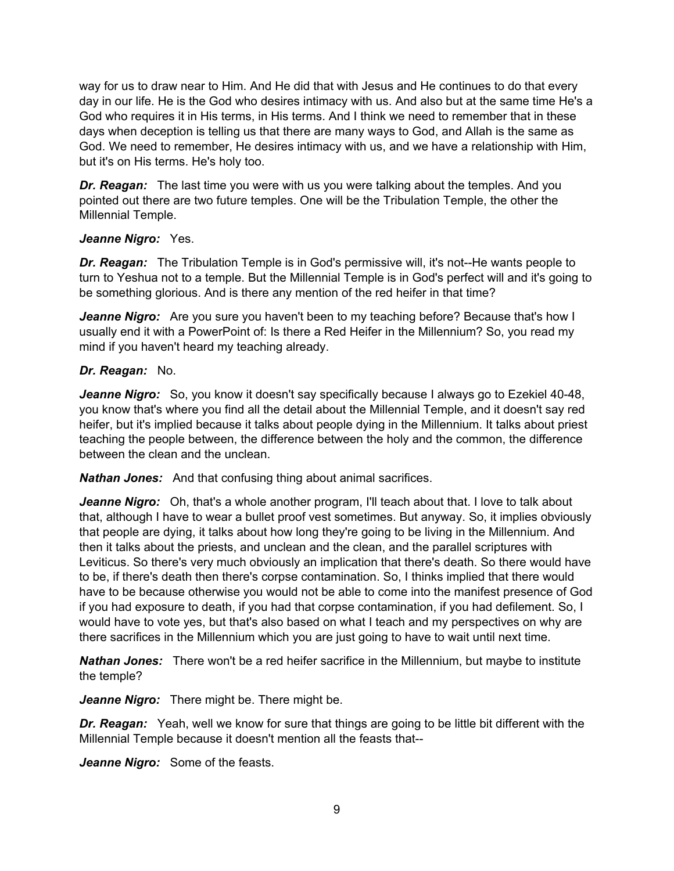way for us to draw near to Him. And He did that with Jesus and He continues to do that every day in our life. He is the God who desires intimacy with us. And also but at the same time He's a God who requires it in His terms, in His terms. And I think we need to remember that in these days when deception is telling us that there are many ways to God, and Allah is the same as God. We need to remember, He desires intimacy with us, and we have a relationship with Him, but it's on His terms. He's holy too.

*Dr. Reagan:* The last time you were with us you were talking about the temples. And you pointed out there are two future temples. One will be the Tribulation Temple, the other the Millennial Temple.

# *Jeanne Nigro:* Yes.

*Dr. Reagan:* The Tribulation Temple is in God's permissive will, it's not--He wants people to turn to Yeshua not to a temple. But the Millennial Temple is in God's perfect will and it's going to be something glorious. And is there any mention of the red heifer in that time?

*Jeanne Nigro:* Are you sure you haven't been to my teaching before? Because that's how I usually end it with a PowerPoint of: Is there a Red Heifer in the Millennium? So, you read my mind if you haven't heard my teaching already.

# *Dr. Reagan:* No.

*Jeanne Nigro:* So, you know it doesn't say specifically because I always go to Ezekiel 40-48, you know that's where you find all the detail about the Millennial Temple, and it doesn't say red heifer, but it's implied because it talks about people dying in the Millennium. It talks about priest teaching the people between, the difference between the holy and the common, the difference between the clean and the unclean.

*Nathan Jones:* And that confusing thing about animal sacrifices.

*Jeanne Nigro:* Oh, that's a whole another program, I'll teach about that. I love to talk about that, although I have to wear a bullet proof vest sometimes. But anyway. So, it implies obviously that people are dying, it talks about how long they're going to be living in the Millennium. And then it talks about the priests, and unclean and the clean, and the parallel scriptures with Leviticus. So there's very much obviously an implication that there's death. So there would have to be, if there's death then there's corpse contamination. So, I thinks implied that there would have to be because otherwise you would not be able to come into the manifest presence of God if you had exposure to death, if you had that corpse contamination, if you had defilement. So, I would have to vote yes, but that's also based on what I teach and my perspectives on why are there sacrifices in the Millennium which you are just going to have to wait until next time.

*Nathan Jones:* There won't be a red heifer sacrifice in the Millennium, but maybe to institute the temple?

*Jeanne Nigro:* There might be. There might be.

*Dr. Reagan:* Yeah, well we know for sure that things are going to be little bit different with the Millennial Temple because it doesn't mention all the feasts that--

*Jeanne Nigro:* Some of the feasts.